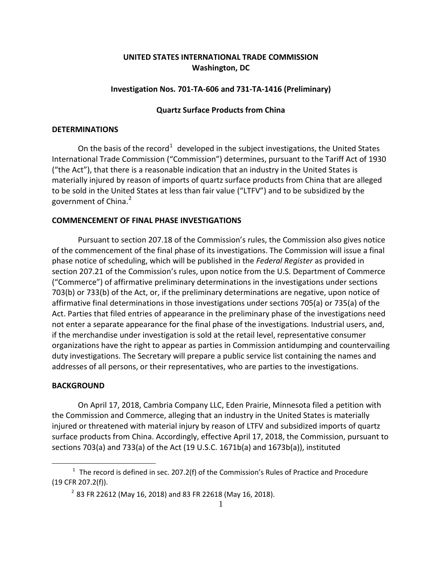# **UNITED STATES INTERNATIONAL TRADE COMMISSION Washington, DC**

## **Investigation Nos. 701-TA-606 and 731-TA-1416 (Preliminary)**

## **Quartz Surface Products from China**

#### **DETERMINATIONS**

On the basis of the record<sup>[1](#page-0-0)</sup> developed in the subject investigations, the United States International Trade Commission ("Commission") determines, pursuant to the Tariff Act of 1930 ("the Act"), that there is a reasonable indication that an industry in the United States is materially injured by reason of imports of quartz surface products from China that are alleged to be sold in the United States at less than fair value ("LTFV") and to be subsidized by the government of China. [2](#page-0-1)

#### **COMMENCEMENT OF FINAL PHASE INVESTIGATIONS**

Pursuant to section 207.18 of the Commission's rules, the Commission also gives notice of the commencement of the final phase of its investigations. The Commission will issue a final phase notice of scheduling, which will be published in the *Federal Register* as provided in section 207.21 of the Commission's rules, upon notice from the U.S. Department of Commerce ("Commerce") of affirmative preliminary determinations in the investigations under sections 703(b) or 733(b) of the Act, or, if the preliminary determinations are negative, upon notice of affirmative final determinations in those investigations under sections 705(a) or 735(a) of the Act. Parties that filed entries of appearance in the preliminary phase of the investigations need not enter a separate appearance for the final phase of the investigations. Industrial users, and, if the merchandise under investigation is sold at the retail level, representative consumer organizations have the right to appear as parties in Commission antidumping and countervailing duty investigations. The Secretary will prepare a public service list containing the names and addresses of all persons, or their representatives, who are parties to the investigations.

### **BACKGROUND**

 $\overline{a}$ 

On April 17, 2018, Cambria Company LLC, Eden Prairie, Minnesota filed a petition with the Commission and Commerce, alleging that an industry in the United States is materially injured or threatened with material injury by reason of LTFV and subsidized imports of quartz surface products from China. Accordingly, effective April 17, 2018, the Commission, pursuant to sections 703(a) and 733(a) of the Act (19 U.S.C. 1671b(a) and 1673b(a)), instituted

<span id="page-0-1"></span><span id="page-0-0"></span> $1$  The record is defined in sec. 207.2(f) of the Commission's Rules of Practice and Procedure (19 CFR 207.2(f)).

 $2$  83 FR 22612 (May 16, 2018) and 83 FR 22618 (May 16, 2018).